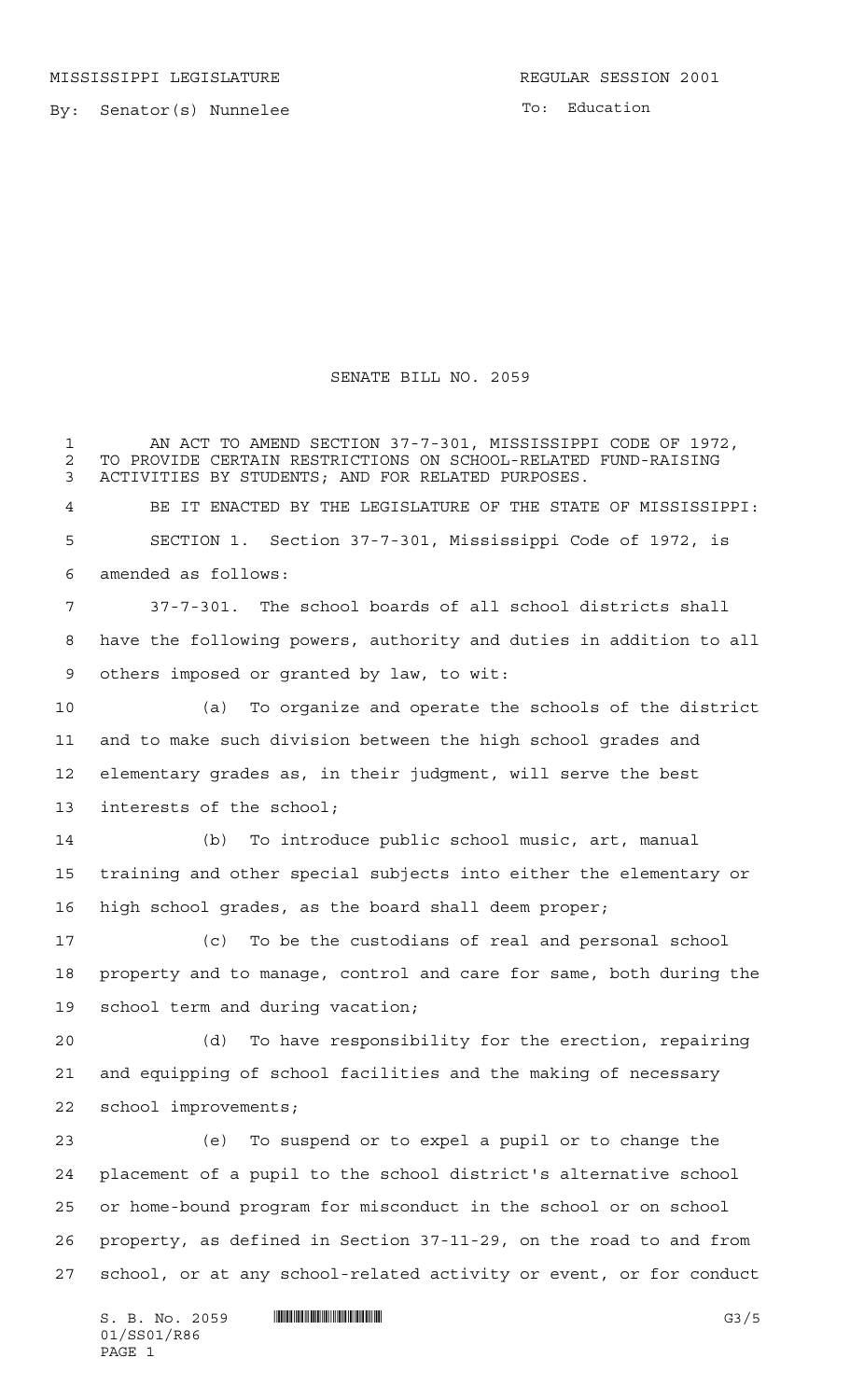By: Senator(s) Nunnelee

To: Education

## SENATE BILL NO. 2059

 AN ACT TO AMEND SECTION 37-7-301, MISSISSIPPI CODE OF 1972, 2 TO PROVIDE CERTAIN RESTRICTIONS ON SCHOOL-RELATED FUND-RAISING<br>3 ACTIVITIES BY STUDENTS: AND FOR RELATED PURPOSES. ACTIVITIES BY STUDENTS; AND FOR RELATED PURPOSES. BE IT ENACTED BY THE LEGISLATURE OF THE STATE OF MISSISSIPPI: SECTION 1. Section 37-7-301, Mississippi Code of 1972, is amended as follows: 37-7-301. The school boards of all school districts shall have the following powers, authority and duties in addition to all others imposed or granted by law, to wit: (a) To organize and operate the schools of the district and to make such division between the high school grades and elementary grades as, in their judgment, will serve the best interests of the school; (b) To introduce public school music, art, manual training and other special subjects into either the elementary or high school grades, as the board shall deem proper; (c) To be the custodians of real and personal school property and to manage, control and care for same, both during the school term and during vacation; (d) To have responsibility for the erection, repairing and equipping of school facilities and the making of necessary school improvements; (e) To suspend or to expel a pupil or to change the placement of a pupil to the school district's alternative school or home-bound program for misconduct in the school or on school property, as defined in Section 37-11-29, on the road to and from school, or at any school-related activity or event, or for conduct

 $S. B. No. 2059$  ...  $|||$ 01/SS01/R86 PAGE 1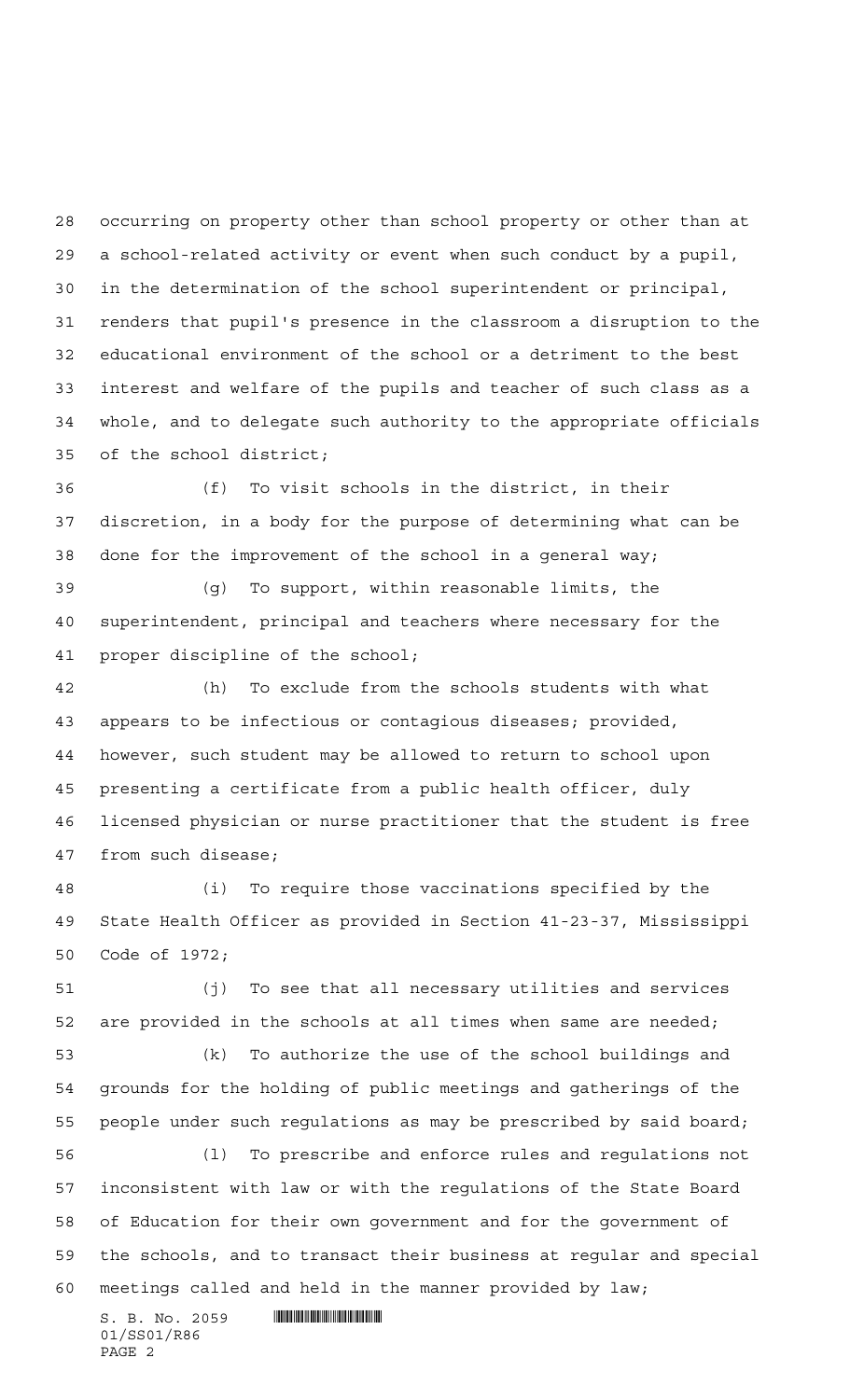occurring on property other than school property or other than at a school-related activity or event when such conduct by a pupil, in the determination of the school superintendent or principal, renders that pupil's presence in the classroom a disruption to the educational environment of the school or a detriment to the best interest and welfare of the pupils and teacher of such class as a whole, and to delegate such authority to the appropriate officials of the school district;

 (f) To visit schools in the district, in their discretion, in a body for the purpose of determining what can be done for the improvement of the school in a general way;

 (g) To support, within reasonable limits, the superintendent, principal and teachers where necessary for the proper discipline of the school;

 (h) To exclude from the schools students with what appears to be infectious or contagious diseases; provided, however, such student may be allowed to return to school upon presenting a certificate from a public health officer, duly licensed physician or nurse practitioner that the student is free from such disease;

 (i) To require those vaccinations specified by the State Health Officer as provided in Section 41-23-37, Mississippi Code of 1972;

 (j) To see that all necessary utilities and services are provided in the schools at all times when same are needed; (k) To authorize the use of the school buildings and grounds for the holding of public meetings and gatherings of the

 people under such regulations as may be prescribed by said board; (l) To prescribe and enforce rules and regulations not inconsistent with law or with the regulations of the State Board of Education for their own government and for the government of the schools, and to transact their business at regular and special meetings called and held in the manner provided by law;

 $S. B. No. 2059$  . Superintendent and  $S. B. No. 2059$ 01/SS01/R86 PAGE 2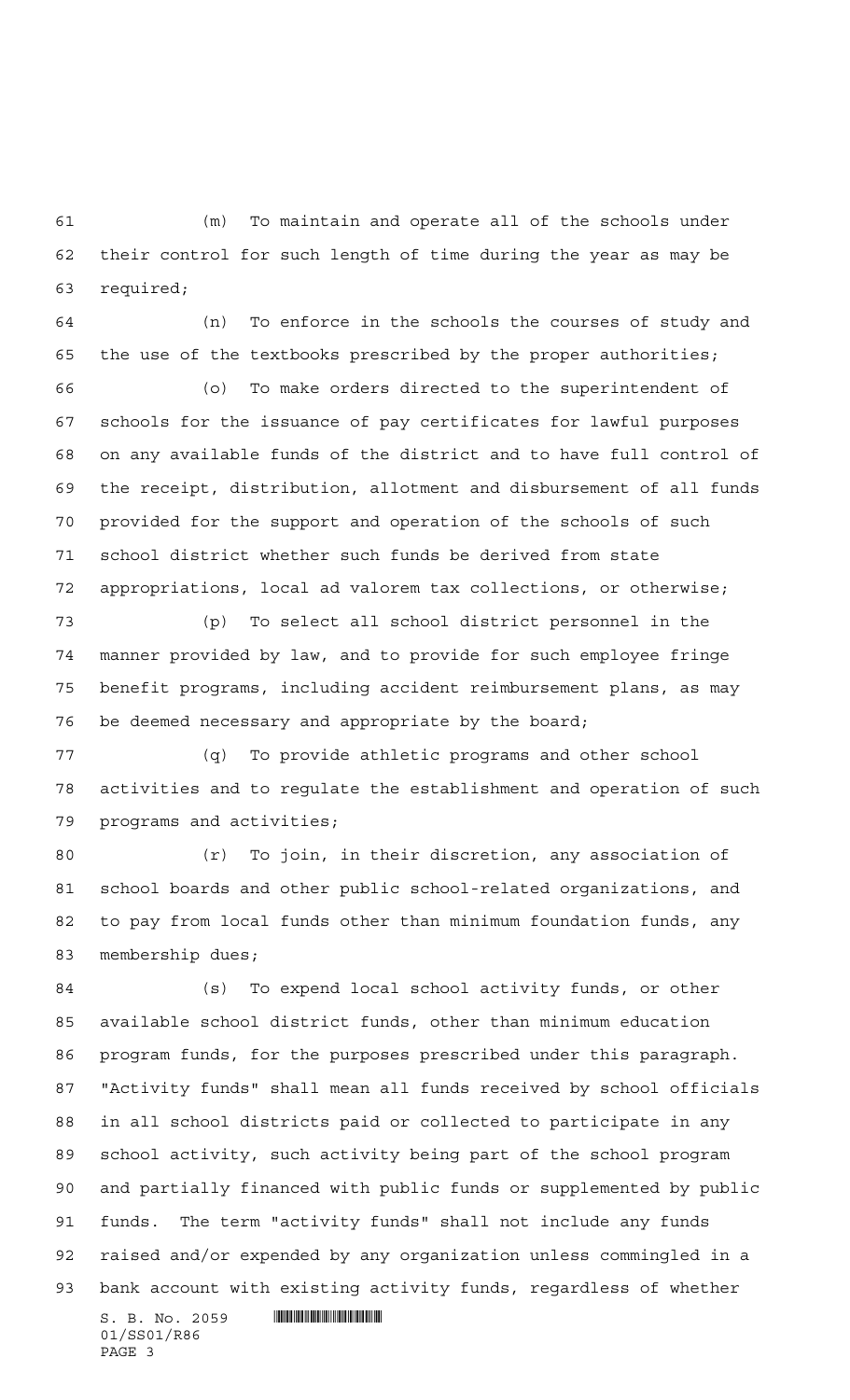(m) To maintain and operate all of the schools under their control for such length of time during the year as may be required;

 (n) To enforce in the schools the courses of study and the use of the textbooks prescribed by the proper authorities;

 (o) To make orders directed to the superintendent of schools for the issuance of pay certificates for lawful purposes on any available funds of the district and to have full control of the receipt, distribution, allotment and disbursement of all funds provided for the support and operation of the schools of such school district whether such funds be derived from state appropriations, local ad valorem tax collections, or otherwise;

 (p) To select all school district personnel in the manner provided by law, and to provide for such employee fringe benefit programs, including accident reimbursement plans, as may be deemed necessary and appropriate by the board;

 (q) To provide athletic programs and other school activities and to regulate the establishment and operation of such programs and activities;

 (r) To join, in their discretion, any association of school boards and other public school-related organizations, and to pay from local funds other than minimum foundation funds, any membership dues;

 (s) To expend local school activity funds, or other available school district funds, other than minimum education program funds, for the purposes prescribed under this paragraph. "Activity funds" shall mean all funds received by school officials in all school districts paid or collected to participate in any school activity, such activity being part of the school program and partially financed with public funds or supplemented by public funds. The term "activity funds" shall not include any funds raised and/or expended by any organization unless commingled in a bank account with existing activity funds, regardless of whether

 $S.$  B. No. 2059  $\blacksquare$ 01/SS01/R86 PAGE 3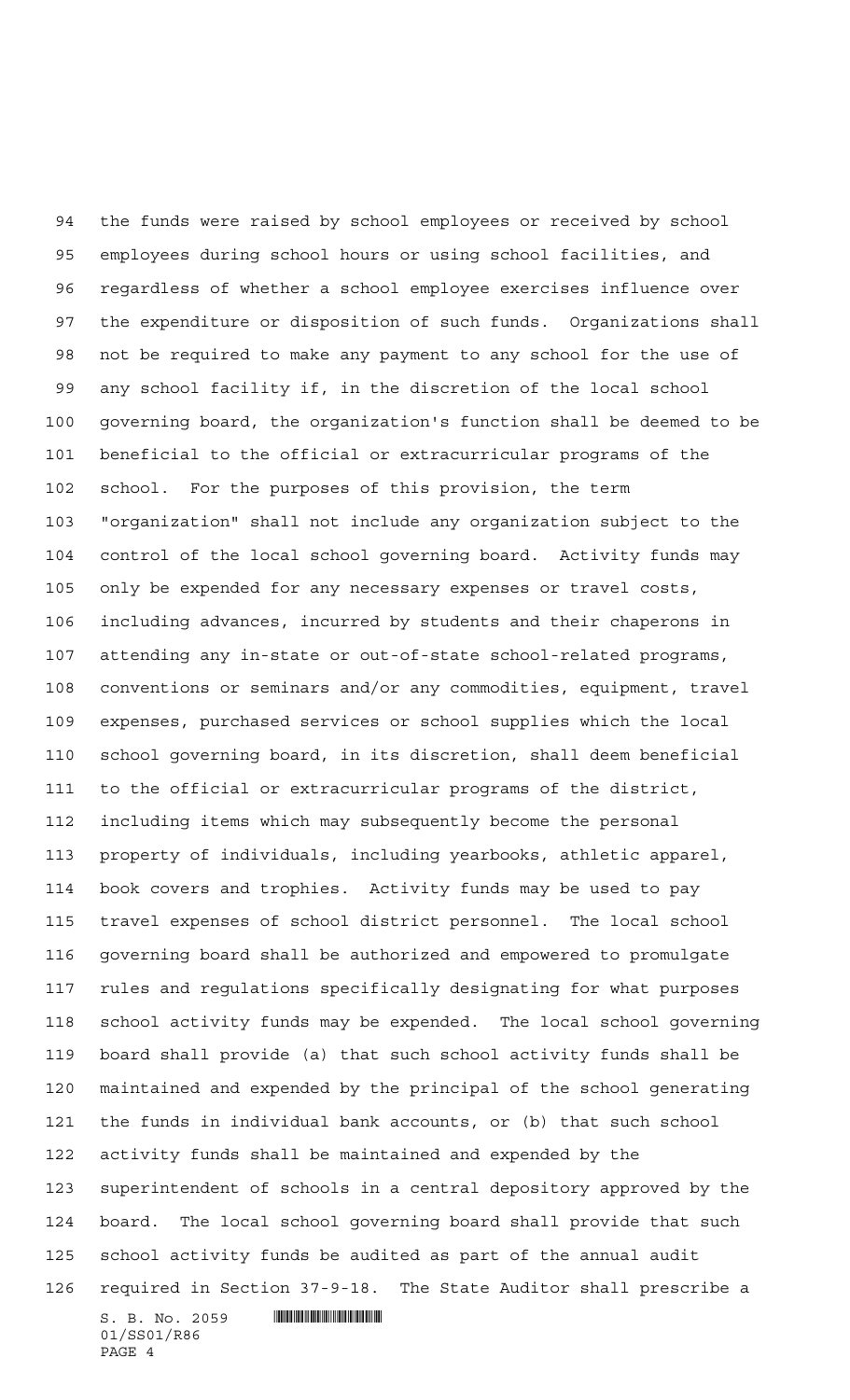$S. B. No. 2059$  . Suppose the set of  $S. B. N_{\odot}$  ,  $2059$ 01/SS01/R86 the funds were raised by school employees or received by school employees during school hours or using school facilities, and regardless of whether a school employee exercises influence over the expenditure or disposition of such funds. Organizations shall not be required to make any payment to any school for the use of any school facility if, in the discretion of the local school governing board, the organization's function shall be deemed to be beneficial to the official or extracurricular programs of the school. For the purposes of this provision, the term "organization" shall not include any organization subject to the control of the local school governing board. Activity funds may only be expended for any necessary expenses or travel costs, including advances, incurred by students and their chaperons in attending any in-state or out-of-state school-related programs, conventions or seminars and/or any commodities, equipment, travel expenses, purchased services or school supplies which the local school governing board, in its discretion, shall deem beneficial to the official or extracurricular programs of the district, including items which may subsequently become the personal property of individuals, including yearbooks, athletic apparel, book covers and trophies. Activity funds may be used to pay travel expenses of school district personnel. The local school governing board shall be authorized and empowered to promulgate rules and regulations specifically designating for what purposes school activity funds may be expended. The local school governing board shall provide (a) that such school activity funds shall be maintained and expended by the principal of the school generating the funds in individual bank accounts, or (b) that such school activity funds shall be maintained and expended by the superintendent of schools in a central depository approved by the board. The local school governing board shall provide that such school activity funds be audited as part of the annual audit required in Section 37-9-18. The State Auditor shall prescribe a

PAGE 4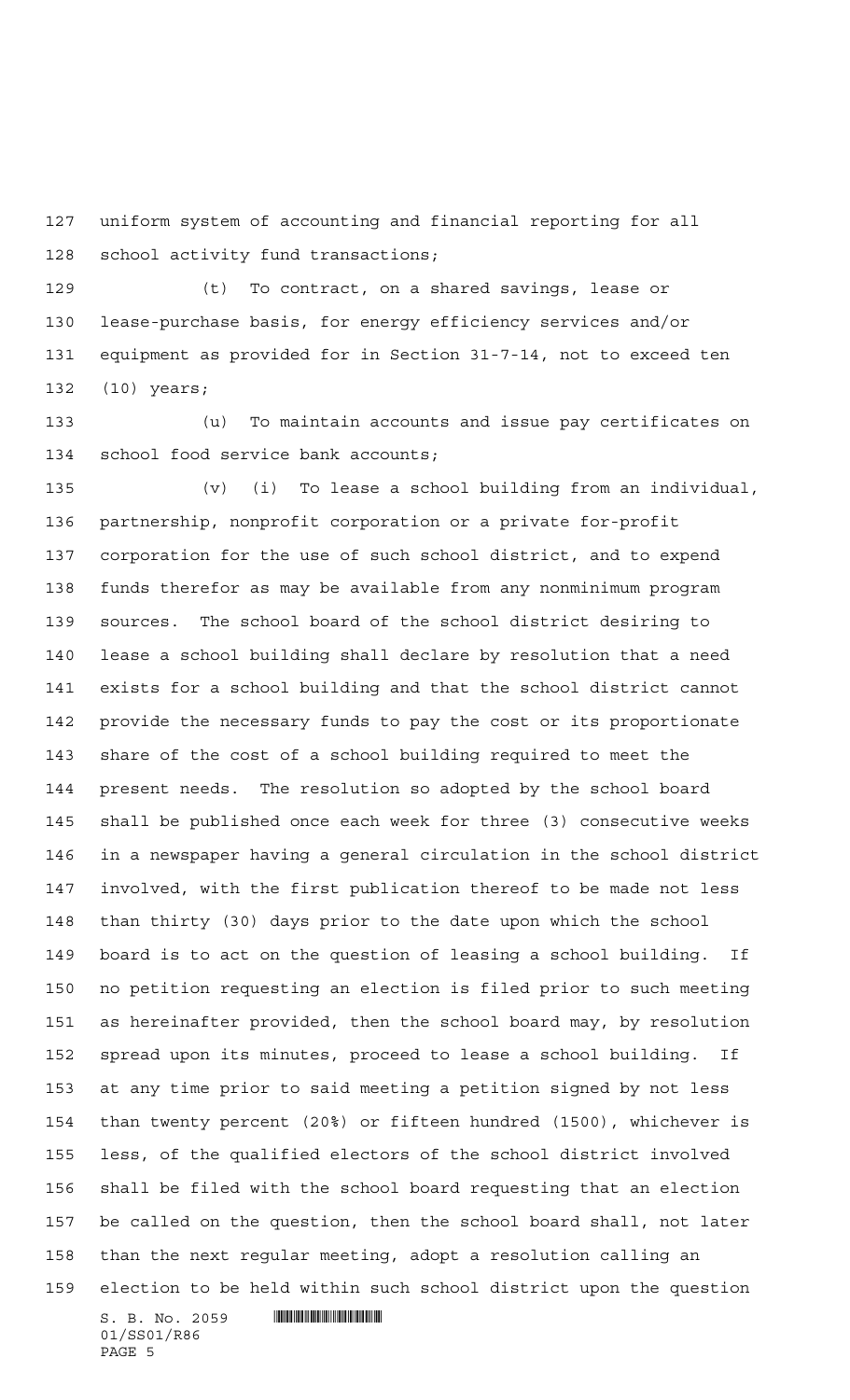uniform system of accounting and financial reporting for all school activity fund transactions;

 (t) To contract, on a shared savings, lease or lease-purchase basis, for energy efficiency services and/or equipment as provided for in Section 31-7-14, not to exceed ten (10) years;

 (u) To maintain accounts and issue pay certificates on school food service bank accounts;

 (v) (i) To lease a school building from an individual, partnership, nonprofit corporation or a private for-profit corporation for the use of such school district, and to expend funds therefor as may be available from any nonminimum program sources. The school board of the school district desiring to lease a school building shall declare by resolution that a need exists for a school building and that the school district cannot provide the necessary funds to pay the cost or its proportionate share of the cost of a school building required to meet the present needs. The resolution so adopted by the school board shall be published once each week for three (3) consecutive weeks in a newspaper having a general circulation in the school district involved, with the first publication thereof to be made not less than thirty (30) days prior to the date upon which the school board is to act on the question of leasing a school building. If no petition requesting an election is filed prior to such meeting as hereinafter provided, then the school board may, by resolution spread upon its minutes, proceed to lease a school building. If at any time prior to said meeting a petition signed by not less than twenty percent (20%) or fifteen hundred (1500), whichever is less, of the qualified electors of the school district involved shall be filed with the school board requesting that an election be called on the question, then the school board shall, not later than the next regular meeting, adopt a resolution calling an election to be held within such school district upon the question

 $S. B. No. 2059$  . Suppose the set of  $S. B. N_{\odot}$  ,  $2059$ 01/SS01/R86 PAGE 5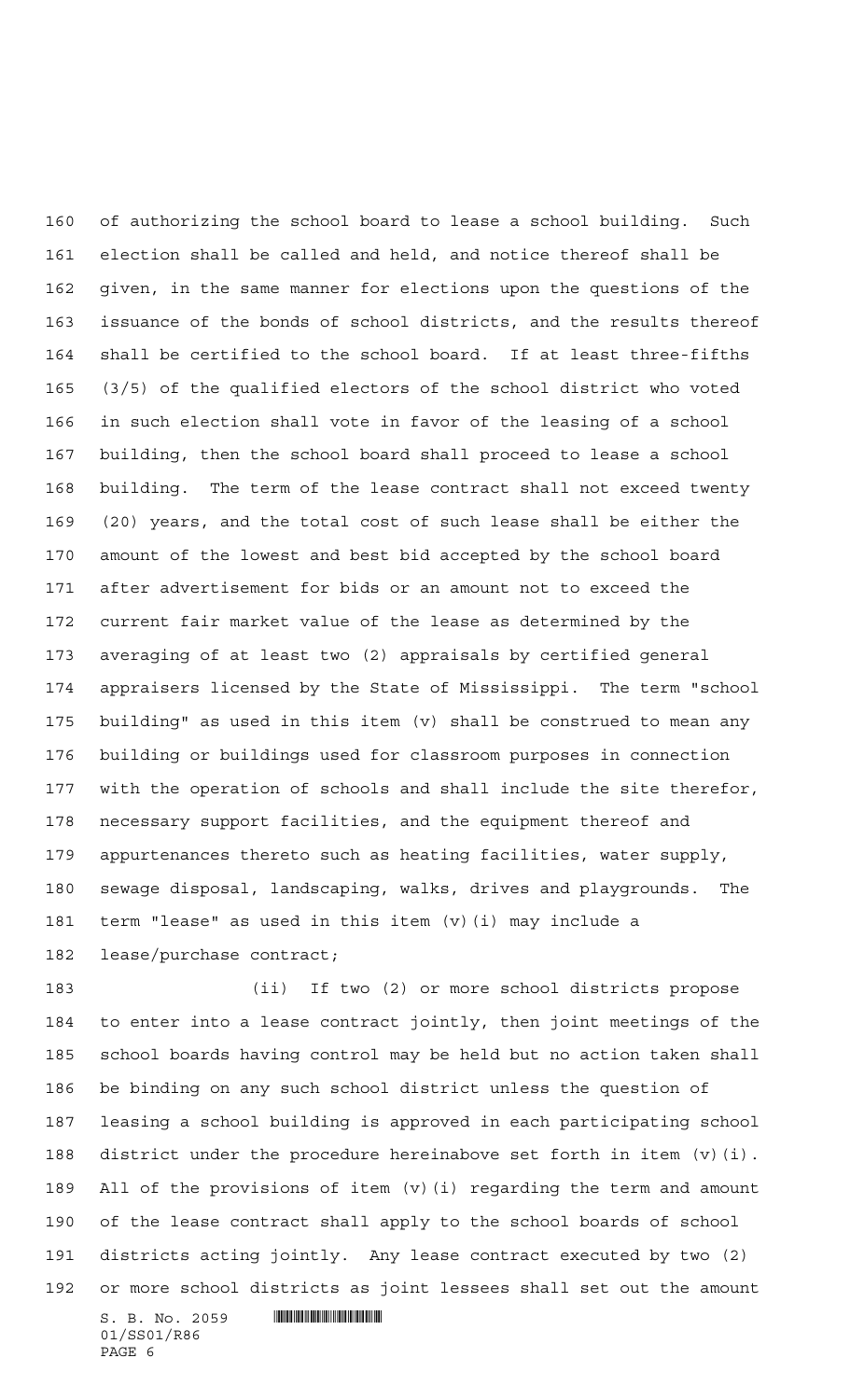of authorizing the school board to lease a school building. Such election shall be called and held, and notice thereof shall be given, in the same manner for elections upon the questions of the issuance of the bonds of school districts, and the results thereof shall be certified to the school board. If at least three-fifths (3/5) of the qualified electors of the school district who voted in such election shall vote in favor of the leasing of a school building, then the school board shall proceed to lease a school building. The term of the lease contract shall not exceed twenty (20) years, and the total cost of such lease shall be either the amount of the lowest and best bid accepted by the school board after advertisement for bids or an amount not to exceed the current fair market value of the lease as determined by the averaging of at least two (2) appraisals by certified general appraisers licensed by the State of Mississippi. The term "school building" as used in this item (v) shall be construed to mean any building or buildings used for classroom purposes in connection with the operation of schools and shall include the site therefor, necessary support facilities, and the equipment thereof and appurtenances thereto such as heating facilities, water supply, sewage disposal, landscaping, walks, drives and playgrounds. The term "lease" as used in this item (v)(i) may include a lease/purchase contract;

 (ii) If two (2) or more school districts propose to enter into a lease contract jointly, then joint meetings of the school boards having control may be held but no action taken shall be binding on any such school district unless the question of leasing a school building is approved in each participating school district under the procedure hereinabove set forth in item (v)(i). All of the provisions of item (v)(i) regarding the term and amount of the lease contract shall apply to the school boards of school districts acting jointly. Any lease contract executed by two (2) or more school districts as joint lessees shall set out the amount

 $S. B. No. 2059$  . Superintendent and  $S. B. No. 2059$ 01/SS01/R86 PAGE 6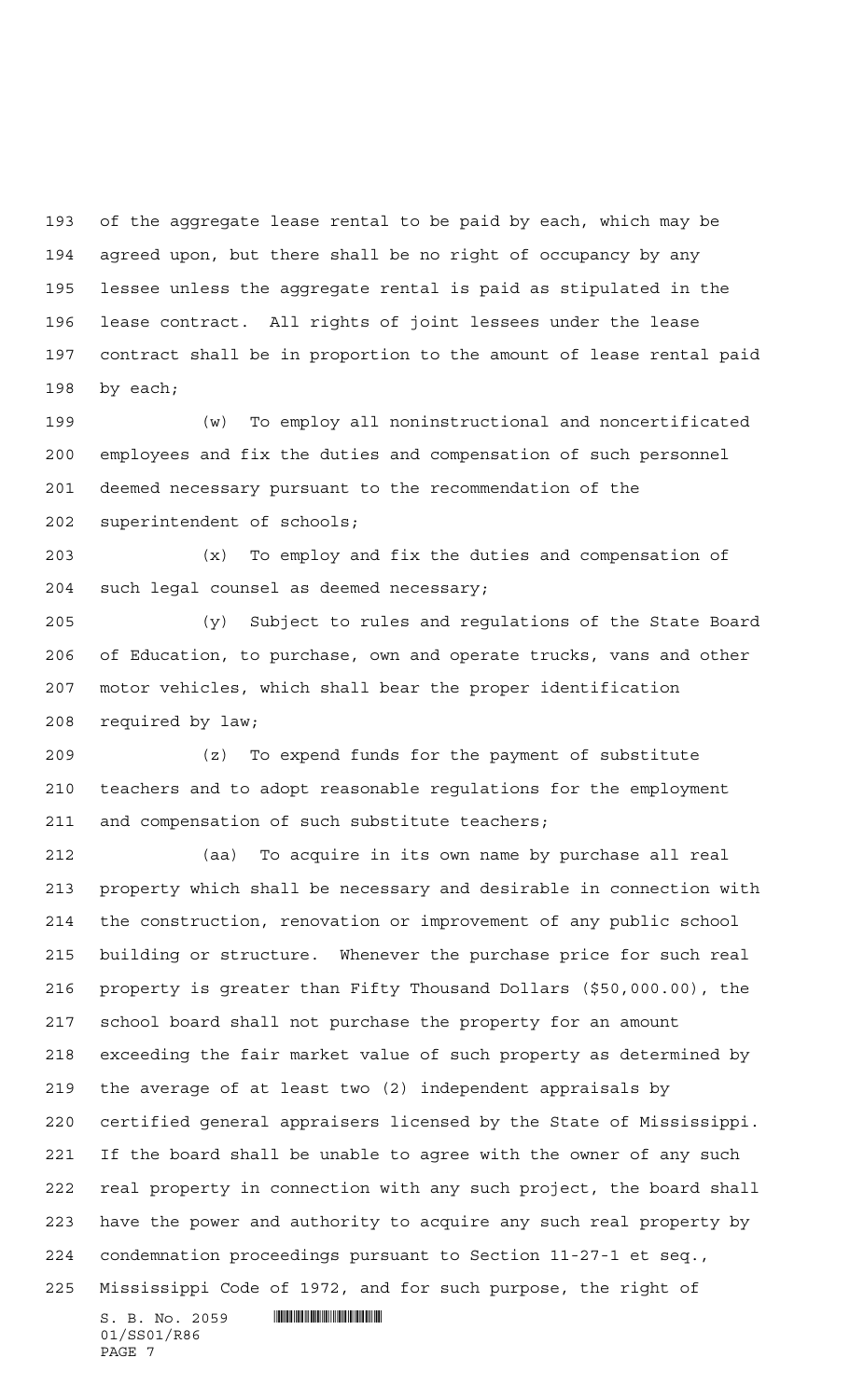of the aggregate lease rental to be paid by each, which may be agreed upon, but there shall be no right of occupancy by any lessee unless the aggregate rental is paid as stipulated in the lease contract. All rights of joint lessees under the lease contract shall be in proportion to the amount of lease rental paid by each;

 (w) To employ all noninstructional and noncertificated employees and fix the duties and compensation of such personnel deemed necessary pursuant to the recommendation of the superintendent of schools;

 (x) To employ and fix the duties and compensation of such legal counsel as deemed necessary;

 (y) Subject to rules and regulations of the State Board of Education, to purchase, own and operate trucks, vans and other motor vehicles, which shall bear the proper identification required by law;

 (z) To expend funds for the payment of substitute teachers and to adopt reasonable regulations for the employment and compensation of such substitute teachers;

 (aa) To acquire in its own name by purchase all real property which shall be necessary and desirable in connection with the construction, renovation or improvement of any public school building or structure. Whenever the purchase price for such real property is greater than Fifty Thousand Dollars (\$50,000.00), the school board shall not purchase the property for an amount exceeding the fair market value of such property as determined by the average of at least two (2) independent appraisals by certified general appraisers licensed by the State of Mississippi. If the board shall be unable to agree with the owner of any such real property in connection with any such project, the board shall have the power and authority to acquire any such real property by condemnation proceedings pursuant to Section 11-27-1 et seq., Mississippi Code of 1972, and for such purpose, the right of

 $S. B. No. 2059$  . Suppose the set of  $S. B. N_{\odot}$  ,  $2059$ 01/SS01/R86 PAGE 7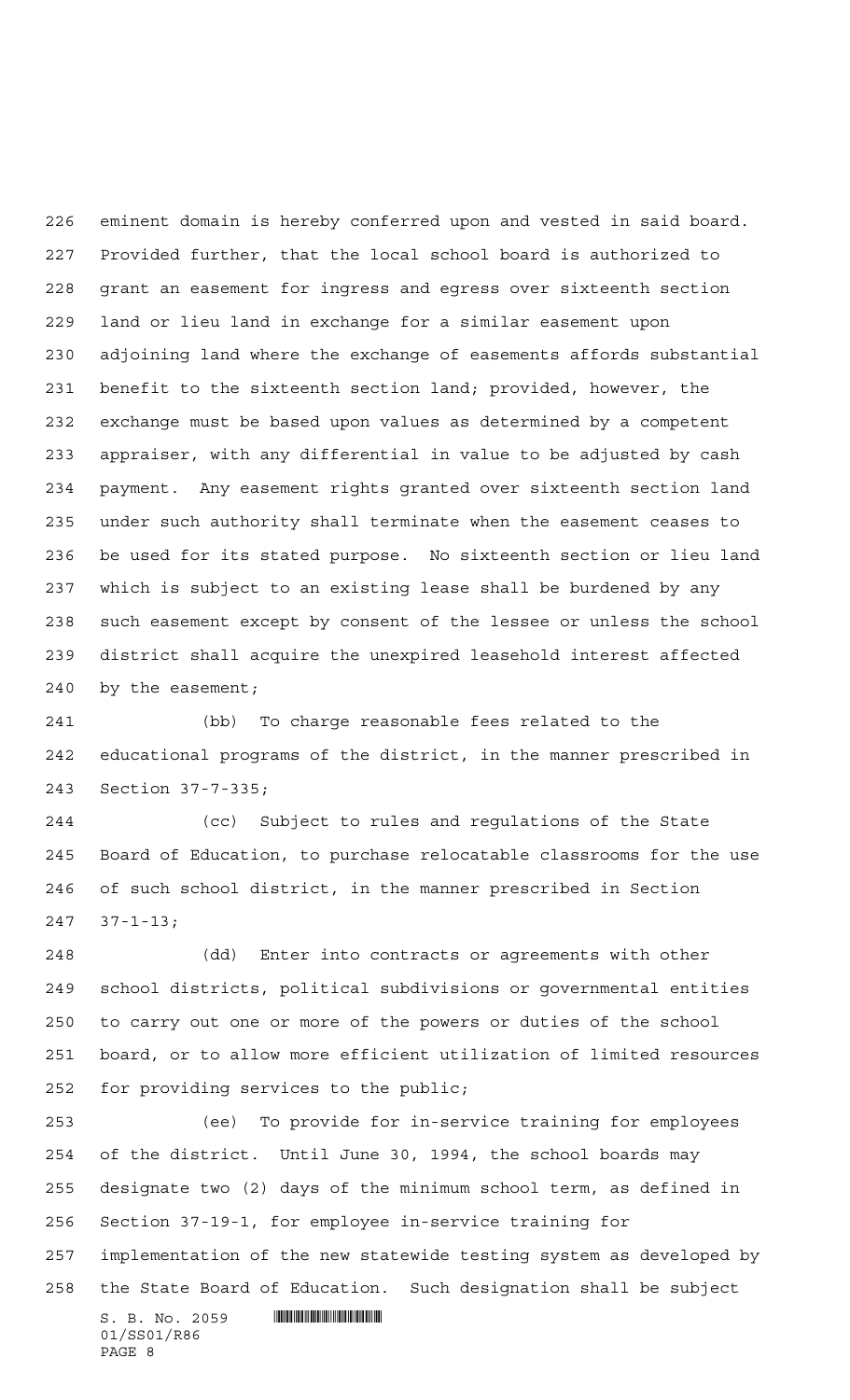eminent domain is hereby conferred upon and vested in said board. Provided further, that the local school board is authorized to grant an easement for ingress and egress over sixteenth section land or lieu land in exchange for a similar easement upon adjoining land where the exchange of easements affords substantial benefit to the sixteenth section land; provided, however, the exchange must be based upon values as determined by a competent appraiser, with any differential in value to be adjusted by cash payment. Any easement rights granted over sixteenth section land under such authority shall terminate when the easement ceases to be used for its stated purpose. No sixteenth section or lieu land which is subject to an existing lease shall be burdened by any such easement except by consent of the lessee or unless the school district shall acquire the unexpired leasehold interest affected by the easement;

 (bb) To charge reasonable fees related to the educational programs of the district, in the manner prescribed in Section 37-7-335;

 (cc) Subject to rules and regulations of the State Board of Education, to purchase relocatable classrooms for the use of such school district, in the manner prescribed in Section 37-1-13;

 (dd) Enter into contracts or agreements with other school districts, political subdivisions or governmental entities to carry out one or more of the powers or duties of the school board, or to allow more efficient utilization of limited resources for providing services to the public;

 $S.$  B. No. 2059  $\blacksquare$  (ee) To provide for in-service training for employees of the district. Until June 30, 1994, the school boards may designate two (2) days of the minimum school term, as defined in Section 37-19-1, for employee in-service training for implementation of the new statewide testing system as developed by the State Board of Education. Such designation shall be subject

01/SS01/R86 PAGE 8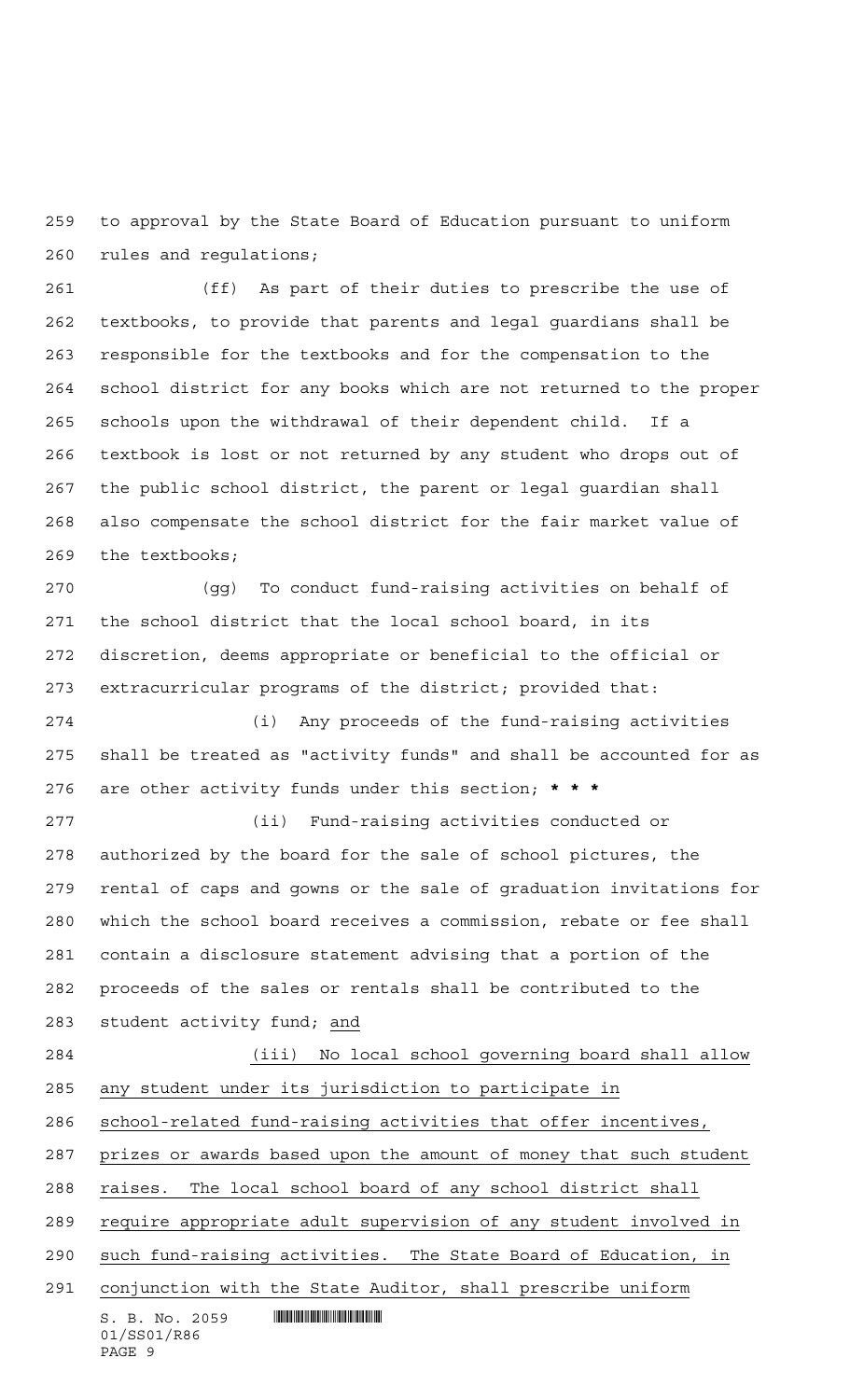to approval by the State Board of Education pursuant to uniform rules and regulations;

 (ff) As part of their duties to prescribe the use of textbooks, to provide that parents and legal guardians shall be responsible for the textbooks and for the compensation to the school district for any books which are not returned to the proper schools upon the withdrawal of their dependent child. If a textbook is lost or not returned by any student who drops out of the public school district, the parent or legal guardian shall also compensate the school district for the fair market value of the textbooks;

 (gg) To conduct fund-raising activities on behalf of the school district that the local school board, in its discretion, deems appropriate or beneficial to the official or extracurricular programs of the district; provided that:

 (i) Any proceeds of the fund-raising activities shall be treated as "activity funds" and shall be accounted for as are other activity funds under this section; **\*\*\***

 (ii) Fund-raising activities conducted or authorized by the board for the sale of school pictures, the rental of caps and gowns or the sale of graduation invitations for which the school board receives a commission, rebate or fee shall contain a disclosure statement advising that a portion of the proceeds of the sales or rentals shall be contributed to the student activity fund; and

 $S. B. No. 2059$  . Superintendent and  $S. B. No. 2059$ 01/SS01/R86 (iii) No local school governing board shall allow any student under its jurisdiction to participate in school-related fund-raising activities that offer incentives, prizes or awards based upon the amount of money that such student raises. The local school board of any school district shall require appropriate adult supervision of any student involved in such fund-raising activities. The State Board of Education, in conjunction with the State Auditor, shall prescribe uniform

```
PAGE 9
```